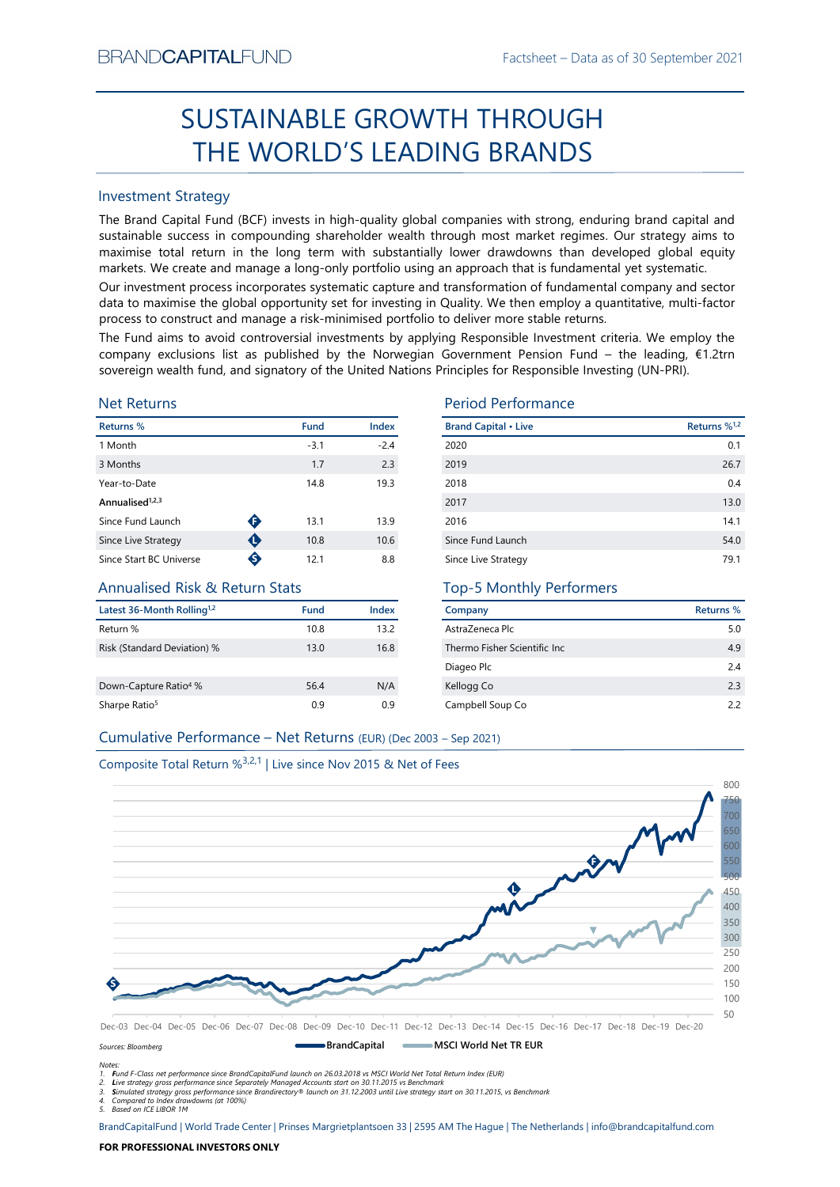# Factsheet – Data as of 30 September 2021<br> **HROUGH**<br> **RANIDE** SUSTAINABLE GROWTH THROUGH THE WORLD'S LEADING BRANDS

# Investment Strategy

FRAND-CAPTIALI-UND<br>
Fractisticest – Dasta as of 30 September 2021<br>
SUSTAINABLE GROWTH THROUGH<br>
THE WORLD'S LEADING BRANDS<br>
Investment Strategy<br>
The Brand Captible Tures in high-quality global companies with strong, enduri **SUSTAINABLE GROWTH THROUGH**<br> **THE WORLD'S LEADING BRANDS**<br>
Investment Strategy<br>
IThe Brand Gapital Fund (8CF) invests in high-quality global comparies with strong, enduring brand capital and<br>
sustainable success in compo BRAND**CAPITAL**FUND<br>
SUSTAINABLE GROWTH THROUGH<br>
THE WORLD'S LEADING BRANDS<br>
Investment Strategy<br>
The Brand Capital Fund (BCF) invests in high-quality global companies with strong, enduring brand capital and<br>
sustainable su BRAND**CAPITAL**FUND<br>
Factsheet – Data as of 30 September 2021<br> **SUSTAINABLE GROWTH THROUGH**<br> **THE WORLD'S LEADING BRANDS**<br>
Investment Strategy<br>
The Brand Capital Fund (BCF) invests in high-quality global companies with stro BRAND**CAPITAL**FUND<br>
SUSTAINABLE GROWTH THROUGH<br>
THE WORLD'S LEADING BRANDS<br>
Investment Strategy<br>
Inte Brand Capital Fund (BCF) invests in high-quality global companies with strong, enduring brand capital and<br>
sustainable s BRAND**CAPITAL**FUND<br>
SUSTAINABLE GROWTH THROUGH<br>
THE WORLD'S LEADING BRANDS<br>
Investment Strategy<br>
Investment Strategy<br>
Investment Strategy<br>
Investment Strategy<br>
Investment Strategy<br>
The Brand Capital Fund (BCF) invests in h BRAND**CAPITAL**FUND Factsheet – Data as of 30 September 2021<br>
SUSTAINABLE GROWTH THROUGH<br>
THE WORLD'S LEADING BRANDS<br>
Investment Strategy<br>
Investment Strategy<br>
Investment Strategy<br>
Investment Strategy<br>
Investment (BCF) inve BRAND**CAPITAL**FUND<br>
SUSTAINABLE GROWTH THROUGH<br>
THE WORLD'S LEADING BRANDS<br>
Investment Strategy<br>
The Brand Capital Fund (BCF) invests in high-quality global companies with strong, enduring brand capital and<br>
Justainable su BRANDCAPITALFUND<br>
SUSTAINABLE GROWTH THROUGH<br>
THE WORLD'S LEADING BRANDS<br>
Investment Strategy<br>
The Brand Capital Fund (BCF) invests in high-quality global companies with strong, enduring brand capital and<br>
sustainable succ ERANDCAPITALFUND<br>
SUSTAINABLE GROWTH THROUGH<br>
THE WORLD'S LEADING BRANDS<br>
Investment Strategy<br>
Investment Strategy<br>
Investment Strategy<br>
Investment Strategy<br>
Investment Strategy<br>
Sustainable success in compounding sharehol EXANDCAPITALFUND<br>
SUSTAINABLE GROWTH THROUGH<br>
THE WORLD'S LEADING BRANDS<br>
Investment Strategy<br>
The Brand Capital Fund (BCF) invests in high-quality global companies with strong, enduring brand capital and<br>
sussissinable s BRANDCAPITALFUND<br>
SUSTAINABLE GROWTH THROUGH<br>
THE WORLD'S LEADING BRANDS<br>
Investment Strategy<br>
Investment Strategy<br>
Investment Strategy<br>
Investment Strategy<br>
Sustainable success in compounding shareholder wealth fundap mo

# Net Returns

| Returns %                   |   | <b>Fund</b> | <b>Index</b> | <b>Brand Cap</b> |
|-----------------------------|---|-------------|--------------|------------------|
| 1 Month                     |   | $-3.1$      | $-2.4$       | 2020             |
| 3 Months                    |   | 1.7         | 2.3          | 2019             |
| Year-to-Date                |   | 14.8        | 19.3         | 2018             |
| Annualised <sup>1,2,3</sup> |   |             |              | 2017             |
| Since Fund Launch           | ➊ | 13.1        | 13.9         | 2016             |
| Since Live Strategy         | O | 10.8        | 10.6         | Since Fund       |
| Since Start BC Universe     | ❸ | 12.1        | 8.8          | Since Live       |

# Annualised Risk & Return Stats

| Latest 36-Month Rolling <sup>1,2</sup> | Fund | Index |
|----------------------------------------|------|-------|
| Return %                               | 10.8 | 13.2  |
| Risk (Standard Deviation) %            | 13.0 | 16.8  |
|                                        |      |       |
| Down-Capture Ratio <sup>4</sup> %      | 56.4 | N/A   |
| Sharpe Ratio <sup>5</sup>              | 0.9  | 0.9   |

# Period Performance

| BRANU <b>UAPHAL</b> FUND                                                      |   |             |        |                                                                                                                                                                                                                                                                                                                                                                                                                                                 | Factsheet – Data as of 30 September 2021 |
|-------------------------------------------------------------------------------|---|-------------|--------|-------------------------------------------------------------------------------------------------------------------------------------------------------------------------------------------------------------------------------------------------------------------------------------------------------------------------------------------------------------------------------------------------------------------------------------------------|------------------------------------------|
|                                                                               |   |             |        | SUSTAINABLE GROWTH THROUGH                                                                                                                                                                                                                                                                                                                                                                                                                      |                                          |
|                                                                               |   |             |        | THE WORLD'S LEADING BRANDS                                                                                                                                                                                                                                                                                                                                                                                                                      |                                          |
| <b>Investment Strategy</b>                                                    |   |             |        |                                                                                                                                                                                                                                                                                                                                                                                                                                                 |                                          |
|                                                                               |   |             |        | The Brand Capital Fund (BCF) invests in high-quality global companies with strong, enduring brand capital and<br>sustainable success in compounding shareholder wealth through most market regimes. Our strategy aims to<br>maximise total return in the long term with substantially lower drawdowns than developed global equity<br>markets. We create and manage a long-only portfolio using an approach that is fundamental yet systematic. |                                          |
|                                                                               |   |             |        | Our investment process incorporates systematic capture and transformation of fundamental company and sector<br>data to maximise the global opportunity set for investing in Quality. We then employ a quantitative, multi-factor<br>process to construct and manage a risk-minimised portfolio to deliver more stable returns.                                                                                                                  |                                          |
|                                                                               |   |             |        | The Fund aims to avoid controversial investments by applying Responsible Investment criteria. We employ the<br>company exclusions list as published by the Norwegian Government Pension Fund – the leading, $E1.2$ trn<br>sovereign wealth fund, and signatory of the United Nations Principles for Responsible Investing (UN-PRI).                                                                                                             |                                          |
| <b>Net Returns</b>                                                            |   |             |        | <b>Period Performance</b>                                                                                                                                                                                                                                                                                                                                                                                                                       |                                          |
| Returns %                                                                     |   | <b>Fund</b> | Index  | <b>Brand Capital • Live</b>                                                                                                                                                                                                                                                                                                                                                                                                                     | Returns % <sup>1,2</sup>                 |
| 1 Month                                                                       |   | $-3.1$      | $-2.4$ | 2020                                                                                                                                                                                                                                                                                                                                                                                                                                            | 0.1                                      |
| 3 Months                                                                      |   | 1.7         | 2.3    | 2019                                                                                                                                                                                                                                                                                                                                                                                                                                            | 26.7                                     |
| Year-to-Date                                                                  |   | 14.8        | 19.3   | 2018                                                                                                                                                                                                                                                                                                                                                                                                                                            | 0.4                                      |
| Annualised <sup>1,2,3</sup>                                                   |   |             |        | 2017                                                                                                                                                                                                                                                                                                                                                                                                                                            | 13.0                                     |
| Since Fund Launch                                                             | ➊ | 13.1        | 13.9   | 2016                                                                                                                                                                                                                                                                                                                                                                                                                                            | 14.1                                     |
| Since Live Strategy                                                           | ❶ | 10.8        | 10.6   | Since Fund Launch                                                                                                                                                                                                                                                                                                                                                                                                                               | 54.0                                     |
| Since Start BC Universe                                                       | ♦ | 12.1        | 8.8    | Since Live Strategy                                                                                                                                                                                                                                                                                                                                                                                                                             | 79.1                                     |
| <b>Annualised Risk &amp; Return Stats</b>                                     |   |             |        | <b>Top-5 Monthly Performers</b>                                                                                                                                                                                                                                                                                                                                                                                                                 |                                          |
| Latest 36-Month Rolling <sup>1,2</sup>                                        |   | Fund        | Index  | Company                                                                                                                                                                                                                                                                                                                                                                                                                                         | <b>Returns %</b>                         |
| Return %                                                                      |   | 10.8        | 13.2   | AstraZeneca Plc                                                                                                                                                                                                                                                                                                                                                                                                                                 | 5.0                                      |
| Risk (Standard Deviation) %                                                   |   | 13.0        | 16.8   | Thermo Fisher Scientific Inc                                                                                                                                                                                                                                                                                                                                                                                                                    | 4.9                                      |
|                                                                               |   |             |        | Diageo Plc                                                                                                                                                                                                                                                                                                                                                                                                                                      | 2.4                                      |
| Down-Capture Ratio <sup>4</sup> %                                             |   | 56.4        | N/A    | Kellogg Co                                                                                                                                                                                                                                                                                                                                                                                                                                      | 2.3                                      |
| Sharpe Ratio <sup>5</sup>                                                     |   | 0.9         | 0.9    | Campbell Soup Co                                                                                                                                                                                                                                                                                                                                                                                                                                | 2.2                                      |
| Cumulative Performance - Net Returns (EUR) (Dec 2003 - Sep 2021)              |   |             |        |                                                                                                                                                                                                                                                                                                                                                                                                                                                 |                                          |
|                                                                               |   |             |        |                                                                                                                                                                                                                                                                                                                                                                                                                                                 |                                          |
| Composite Total Return % <sup>3,2,1</sup>   Live since Nov 2015 & Net of Fees |   |             |        |                                                                                                                                                                                                                                                                                                                                                                                                                                                 |                                          |
|                                                                               |   |             |        |                                                                                                                                                                                                                                                                                                                                                                                                                                                 | 800                                      |
|                                                                               |   |             |        |                                                                                                                                                                                                                                                                                                                                                                                                                                                 |                                          |
|                                                                               |   |             |        |                                                                                                                                                                                                                                                                                                                                                                                                                                                 |                                          |

# Top-5 Monthly Performers

| Company                       | <b>Returns %</b> |
|-------------------------------|------------------|
| AstraZeneca Plc               | 5.0              |
| Thermo Fisher Scientific Inc. | 4.9              |
| Diageo Plc                    | 24               |
| Kellogg Co                    | 23               |
| Campbell Soup Co              | 22               |





Notes:

1. Fund F-Class net performance since BrandCapitalFund launch on 26.03.2018 vs MSCI World Net Total Return Index (EUR)

2. Live strategy gross performance since Separately Managed Accounts start on 30.11.2015 vs Benchmark<br>3. Simulated strategy gross performance since Brandirectory® launch on 31.12.2003 until Live strategy start on 30.11.201

5. Based on ICE LIBOR 1M